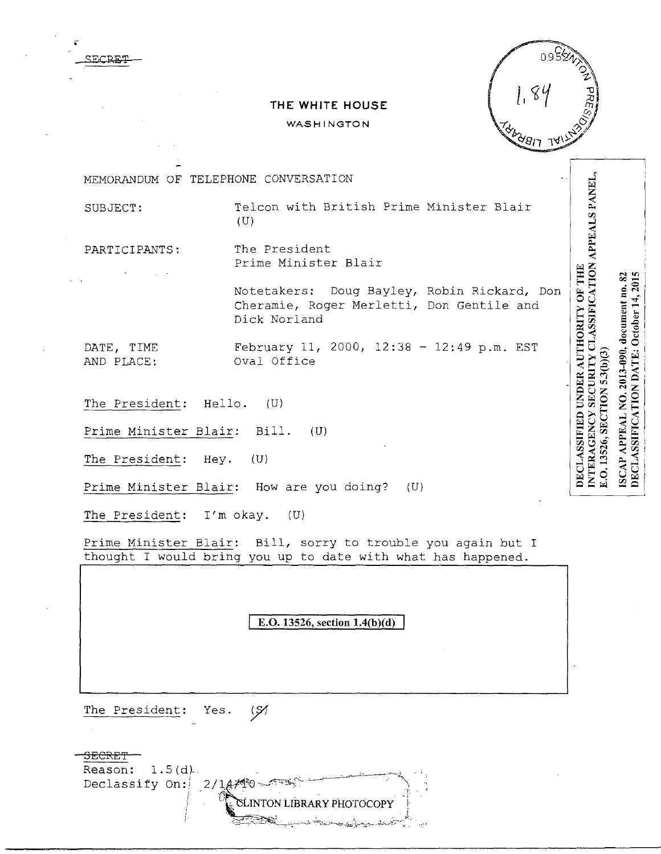

ISCAP APPEAL NO. 2013-090, document no. 82 DECLASSIFICATION DATE: October 14, 2015

E.O. 13526, SECTION 5.3(b)(3)

## **THE WHITE HOUSE**

## **WASHINGTON**

INTERAGENCY SECURITY CLASSIFICATION APPEALS PANEL, MEMORANDUM OF TELEPHONE CONVERSATION SUBJECT: Telcon with British Prime Minister Blair  $(U)$ PARTICIPANTS: The President Prime Minister Blair DECLASSIFIED UNDER AUTHORITY OF THE Notetakers: Doug Bayley, Robin Rickard, Don Cheramie, Roger Merletti, Don Gentile and Dick Norland DATE, TIME February 11, 2000, 12:38 - 12:49 p.m. EST AND PLACE: Oval Office The President: Hello. (U) Prime Minister Blair: Bill. (U) The President: Hey. (U) Prime Minister Blair: How are you doing? (U) The President: I'm okay. (U)

Prime Minister Blair: Bill, sorry to trouble you again but I thought I would bring you up to date with what has happened.

**E.O. 13526, section 1.4(b)(d)** 

The President: Yes. (S)

SE·CRET

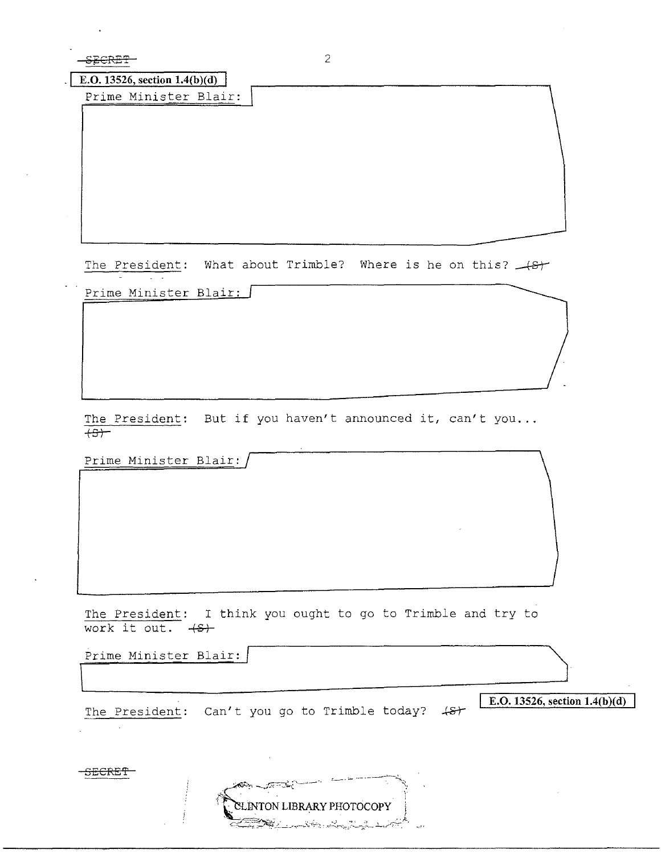SECRET

**E.O.** 13526, section 1.4(b)(d)

Prime Minister Blair:

The President: What about Trimble? Where is he on this? (8)

Prime Minister Blair:

The President: But if you haven't announced it, can't you...  $+S$ 

Prime Minister Blair:

The President: I think you ought to go to Trimble and try to work it out.  $\leftarrow +S$ 

Prime Minister Blair:

The President: Can't you go to Trimble today? 48+

ೂಮ್

**ENTON LIBRARY PHOTOCOPY** <u> Del Constantino de la provincia de la provincia de la provincia de la provincia del provincia del provincia de </u>

**E.O.** 13526, section  $1.4(b)(d)$ 

SECRET

 $\sim$   $\sim$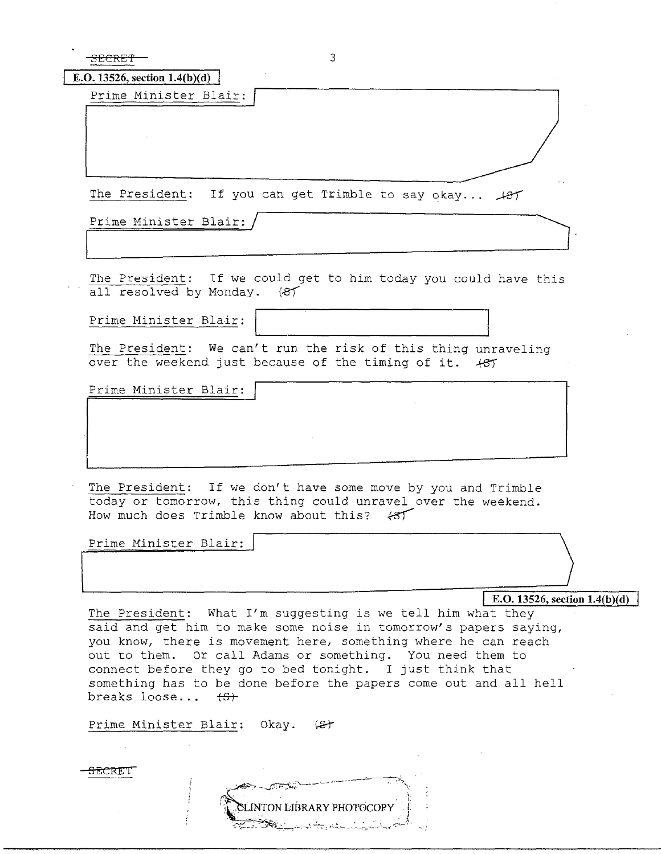| $\frac{1}{2}$                         |  |
|---------------------------------------|--|
| <b>DECRET</b>                         |  |
| <b>CONTRACTOR</b> COMPANY AND INCOME. |  |

| <b>E.O.</b> 13526, section 1.4(b)(d) |  |
|--------------------------------------|--|
| Prime Minister Blair:                |  |

The President: If you can get Trimble to say okay...  $\mathcal{A}ST$ 

Prime Minister Blair:

The President: If we could get to him today you could have this all resolved by Monday. (8)

Prime Minister Blair:

The President: We can't run the risk of this thing unraveling over the weekend just because of the timing of it.  $+85$ 

Prime Minister Blair:

The President: If we don't have some move by you and Trimble today or tomorrow, this thing could unravel over the weekend. How much does Trimble know about this?  $\leftarrow$ 

Prime Minister Blair:

**E.O. 13526, section 1.4(b)(d)** 

 $\Bigg\}$ 

The President: What I'm suggesting is we tell him what they said and get him to make some noise in tomorrow's papers saying, you know, there is movement here, something where he can reach out to them. or call Adams or something. You need them to connect before they go to bed tonight. I just think that something has to be done before the papers come out and all hell breaks loose... **ts+** 

Prime Minister Blair: Okay. (St

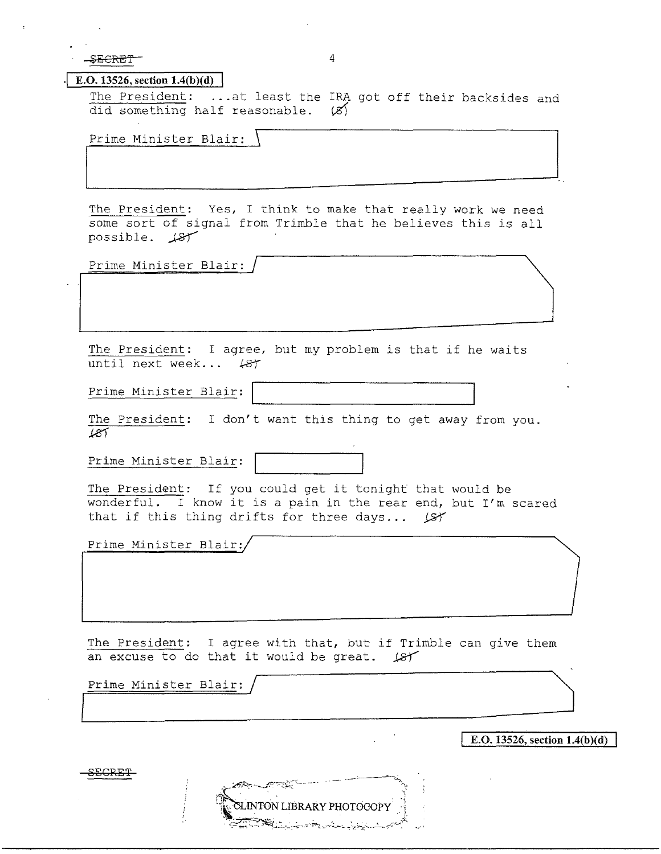$-$ <del>SECRET</del> 4

I

## **-1** E.O. **13526, section 1.4(b)(d)**

The President: ... at least the IRA got off their backsides and did something half reasonable.  $(X)$ 

Prime Minister Blair: \

The President: Yes, I think to make that really work we need some sort of signal from Trimble that he believes this is all possible.  $\cancel{18}$ 

Prime Minister Blair:

The President: I agree, but my problem is that if he waits until next week...  $48f$ 

Prime Minister Blair:

The President: I don't want this thing to get away from you. *.kel* 

Prime Minister Blair:



The President: If you could get it tonight that would be wonderful. I know it is a pain in the rear end, but I'm scared that if this thing drifts for three days...  $\cancel{187}$ 

Prime Minister Blair:

The President: I agree with that, but if Trimble can give them an excuse to do that it would be great.  $\cancel{181}$ 

**INTON LIBRARY PHOTOCOPY** 

Prime Minister Blair:

**E.O. 13526, section l.4(b)(d)** 

£EGRET